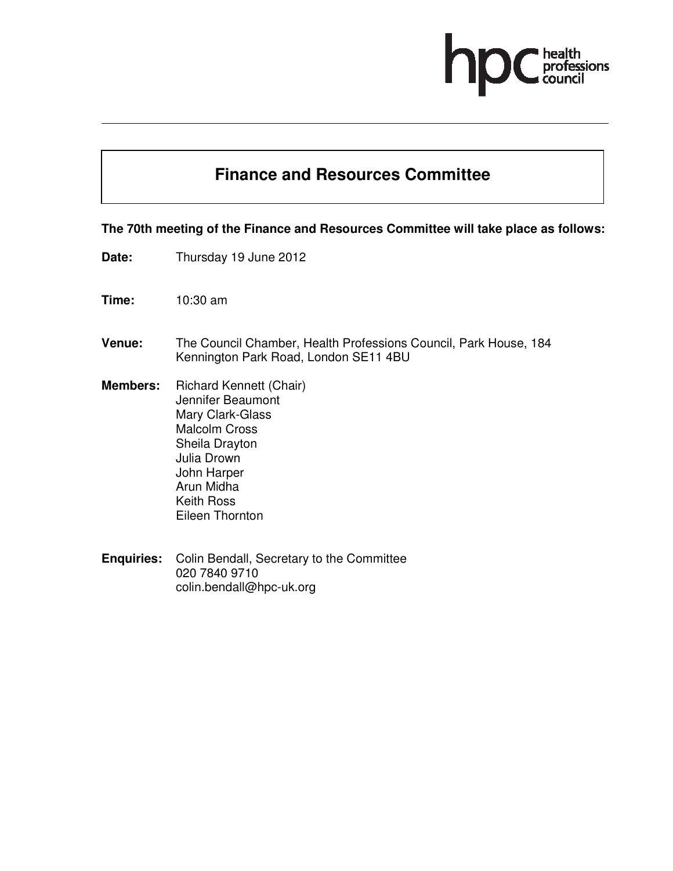# professions

### **Finance and Resources Committee**

#### **The 70th meeting of the Finance and Resources Committee will take place as follows:**

- **Date:** Thursday 19 June 2012
- **Time:** 10:30 am
- **Venue:** The Council Chamber, Health Professions Council, Park House, 184 Kennington Park Road, London SE11 4BU
- **Members:** Richard Kennett (Chair) Jennifer Beaumont Mary Clark-Glass Malcolm Cross Sheila Drayton Julia Drown John Harper Arun Midha Keith Ross Eileen Thornton
- **Enquiries:** Colin Bendall, Secretary to the Committee 020 7840 9710 colin.bendall@hpc-uk.org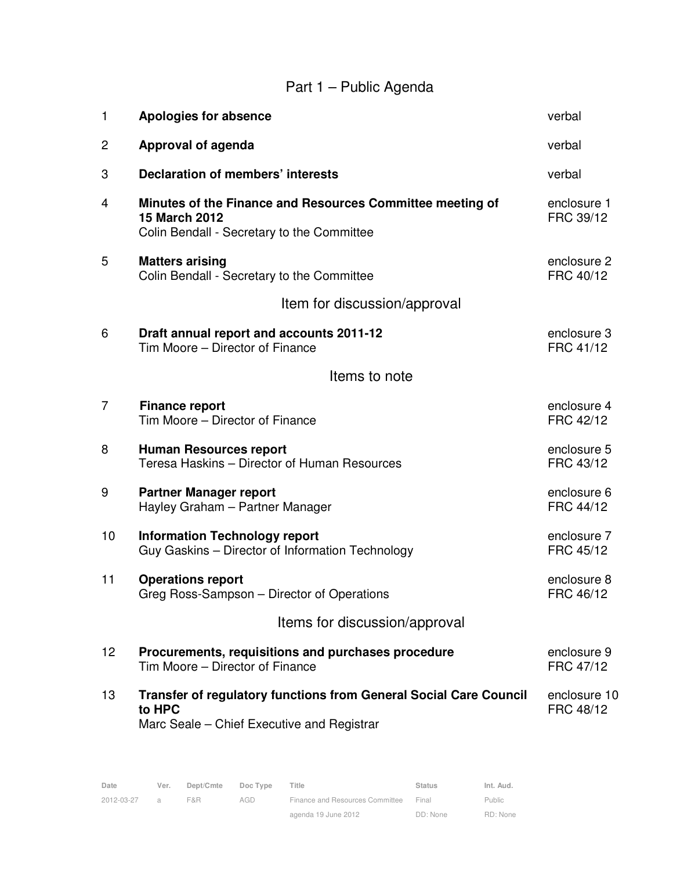## Part 1 – Public Agenda

| 1               | <b>Apologies for absence</b>                                                                                                    | verbal                    |
|-----------------|---------------------------------------------------------------------------------------------------------------------------------|---------------------------|
| $\overline{c}$  | Approval of agenda                                                                                                              | verbal                    |
| 3               | Declaration of members' interests                                                                                               | verbal                    |
| 4               | Minutes of the Finance and Resources Committee meeting of<br><b>15 March 2012</b><br>Colin Bendall - Secretary to the Committee | enclosure 1<br>FRC 39/12  |
| 5               | <b>Matters arising</b><br>Colin Bendall - Secretary to the Committee                                                            | enclosure 2<br>FRC 40/12  |
|                 | Item for discussion/approval                                                                                                    |                           |
| 6               | Draft annual report and accounts 2011-12<br>Tim Moore - Director of Finance                                                     | enclosure 3<br>FRC 41/12  |
|                 | Items to note                                                                                                                   |                           |
| $\overline{7}$  | <b>Finance report</b><br>Tim Moore - Director of Finance                                                                        | enclosure 4<br>FRC 42/12  |
| 8               | <b>Human Resources report</b><br>Teresa Haskins - Director of Human Resources                                                   | enclosure 5<br>FRC 43/12  |
| 9               | <b>Partner Manager report</b><br>Hayley Graham - Partner Manager                                                                | enclosure 6<br>FRC 44/12  |
| 10              | <b>Information Technology report</b><br>Guy Gaskins - Director of Information Technology                                        | enclosure 7<br>FRC 45/12  |
| 11              | <b>Operations report</b><br>Greg Ross-Sampson - Director of Operations                                                          | enclosure 8<br>FRC 46/12  |
|                 | Items for discussion/approval                                                                                                   |                           |
| 12 <sub>2</sub> | Procurements, requisitions and purchases procedure<br>Tim Moore – Director of Finance                                           | enclosure 9<br>FRC 47/12  |
| 13              | Transfer of regulatory functions from General Social Care Council<br>to HPC<br>Marc Seale - Chief Executive and Registrar       | enclosure 10<br>FRC 48/12 |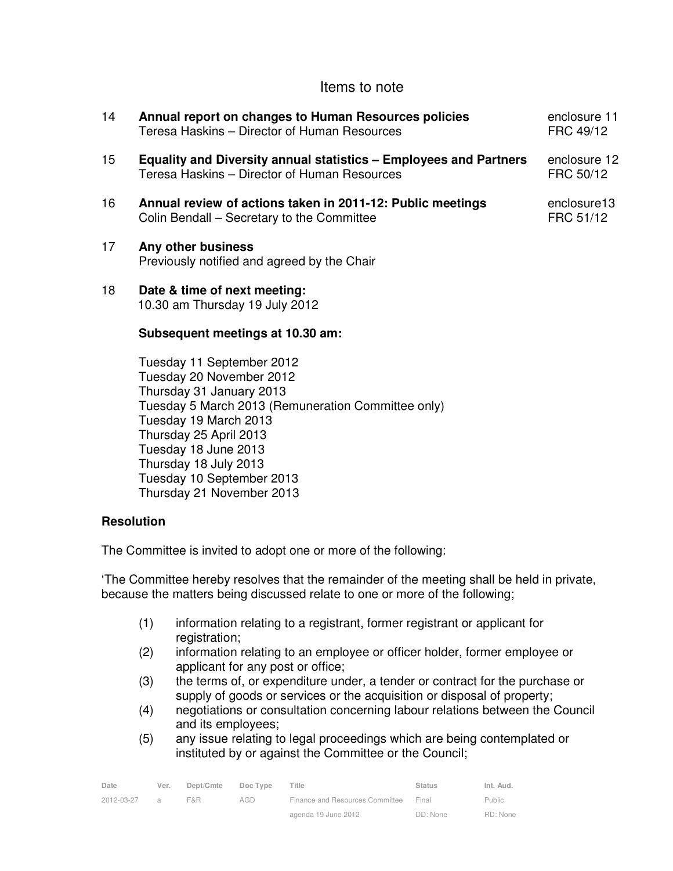#### Items to note

| 14              | Annual report on changes to Human Resources policies<br>Teresa Haskins - Director of Human Resources                                                                                                                                                                     | enclosure 11<br>FRC 49/12 |
|-----------------|--------------------------------------------------------------------------------------------------------------------------------------------------------------------------------------------------------------------------------------------------------------------------|---------------------------|
| 15 <sub>1</sub> | <b>Equality and Diversity annual statistics - Employees and Partners</b><br>Teresa Haskins - Director of Human Resources                                                                                                                                                 | enclosure 12<br>FRC 50/12 |
| 16              | Annual review of actions taken in 2011-12: Public meetings<br>Colin Bendall - Secretary to the Committee                                                                                                                                                                 | enclosure13<br>FRC 51/12  |
| 17              | Any other business<br>Previously notified and agreed by the Chair                                                                                                                                                                                                        |                           |
| 18              | Date & time of next meeting:<br>10.30 am Thursday 19 July 2012                                                                                                                                                                                                           |                           |
|                 | Subsequent meetings at 10.30 am:                                                                                                                                                                                                                                         |                           |
|                 | Tuesday 11 September 2012<br>Tuesday 20 November 2012<br>Thursday 31 January 2013<br>Tuesday 5 March 2013 (Remuneration Committee only)<br>Tuesday 19 March 2013<br>Thursday 25 April 2013<br>Tuesday 18 June 2013<br>Thursday 18 July 2013<br>Tugodov 10 Roptombor 2012 |                           |

Tuesday 10 September 2013 Thursday 21 November 2013

#### **Resolution**

The Committee is invited to adopt one or more of the following:

'The Committee hereby resolves that the remainder of the meeting shall be held in private, because the matters being discussed relate to one or more of the following;

- (1) information relating to a registrant, former registrant or applicant for registration;
- (2) information relating to an employee or officer holder, former employee or applicant for any post or office;
- (3) the terms of, or expenditure under, a tender or contract for the purchase or supply of goods or services or the acquisition or disposal of property;
- (4) negotiations or consultation concerning labour relations between the Council and its employees;
- (5) any issue relating to legal proceedings which are being contemplated or instituted by or against the Committee or the Council;

| Date       | Ver.           | Dept/Cmte | Doc Type | Title                           | <b>Status</b> | Int. Aud.     |
|------------|----------------|-----------|----------|---------------------------------|---------------|---------------|
| 2012-03-27 | $\overline{a}$ | F&R       | AGD      | Finance and Resources Committee | Final         | <b>Public</b> |
|            |                |           |          | agenda 19 June 2012             | DD: None      | RD: None      |